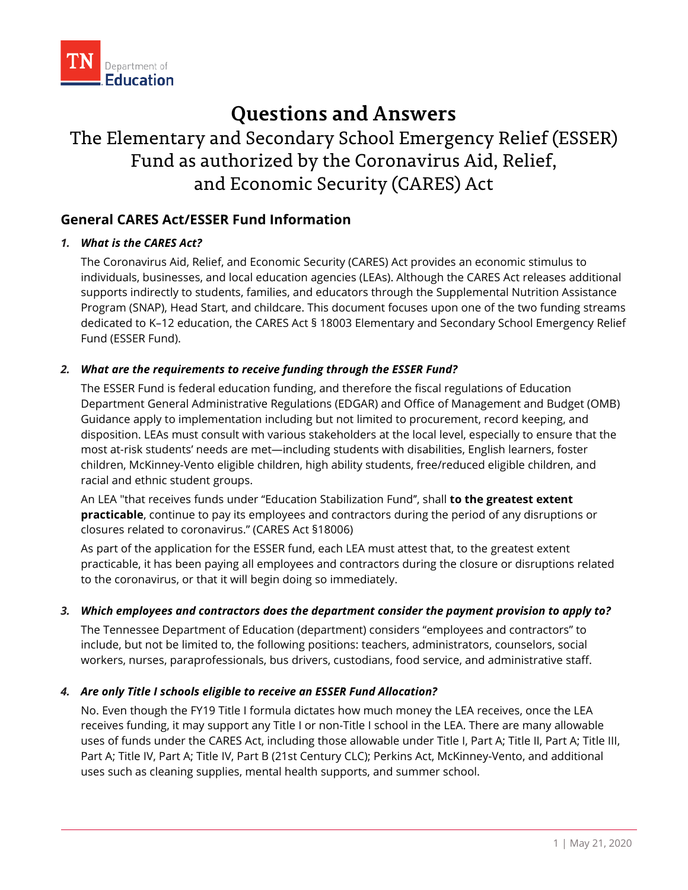

# **Questions and Answers**

# The Elementary and Secondary School Emergency Relief (ESSER) Fund as authorized by the Coronavirus Aid, Relief, and Economic Security (CARES) Act

## **General CARES Act/ESSER Fund Information**

## *1. What is the CARES Act?*

The Coronavirus Aid, Relief, and Economic Security (CARES) Act provides an economic stimulus to individuals, businesses, and local education agencies (LEAs). Although the CARES Act releases additional supports indirectly to students, families, and educators through the Supplemental Nutrition Assistance Program (SNAP), Head Start, and childcare. This document focuses upon one of the two funding streams dedicated to K–12 education, the CARES Act § 18003 Elementary and Secondary School Emergency Relief Fund (ESSER Fund).

## *2. What are the requirements to receive funding through the ESSER Fund?*

The ESSER Fund is federal education funding, and therefore the fiscal regulations of Education Department General Administrative Regulations (EDGAR) and Office of Management and Budget (OMB) Guidance apply to implementation including but not limited to procurement, record keeping, and disposition. LEAs must consult with various stakeholders at the local level, especially to ensure that the most at-risk students' needs are met—including students with disabilities, English learners, foster children, McKinney-Vento eligible children, high ability students, free/reduced eligible children, and racial and ethnic student groups.

An LEA "that receives funds under ''Education Stabilization Fund'', shall **to the greatest extent practicable**, continue to pay its employees and contractors during the period of any disruptions or closures related to coronavirus." (CARES Act §18006)

As part of the application for the ESSER fund, each LEA must attest that, to the greatest extent practicable, it has been paying all employees and contractors during the closure or disruptions related to the coronavirus, or that it will begin doing so immediately.

## *3. Which employees and contractors does the department consider the payment provision to apply to?*

The Tennessee Department of Education (department) considers "employees and contractors" to include, but not be limited to, the following positions: teachers, administrators, counselors, social workers, nurses, paraprofessionals, bus drivers, custodians, food service, and administrative staff.

## *4. Are only Title I schools eligible to receive an ESSER Fund Allocation?*

No. Even though the FY19 Title I formula dictates how much money the LEA receives, once the LEA receives funding, it may support any Title I or non-Title I school in the LEA. There are many allowable uses of funds under the CARES Act, including those allowable under Title I, Part A; Title II, Part A; Title III, Part A; Title IV, Part A; Title IV, Part B (21st Century CLC); Perkins Act, McKinney-Vento, and additional uses such as cleaning supplies, mental health supports, and summer school.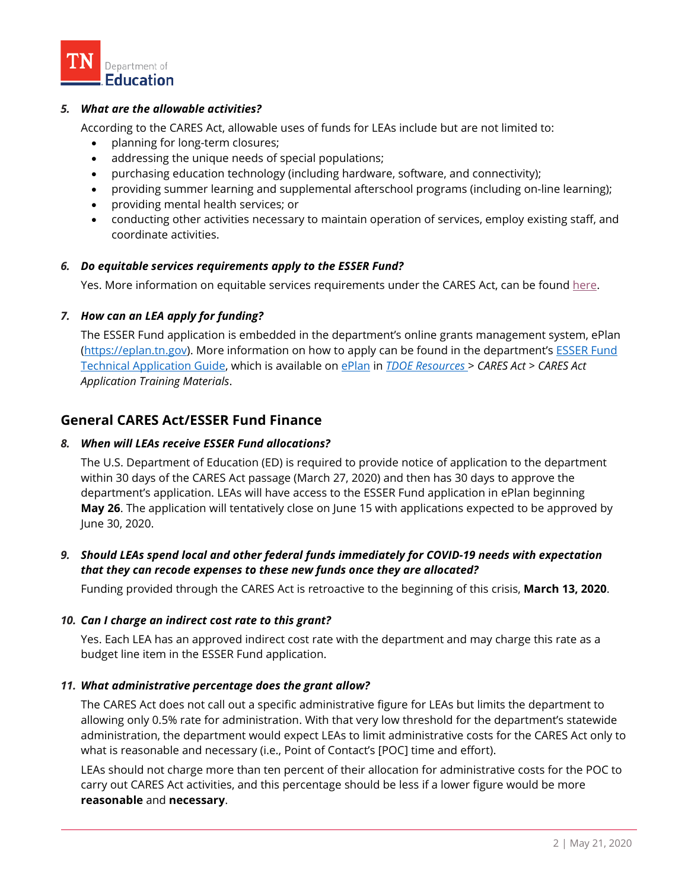

### *5. What are the allowable activities?*

According to the CARES Act, allowable uses of funds for LEAs include but are not limited to:

- planning for long-term closures;
- addressing the unique needs of special populations;
- purchasing education technology (including hardware, software, and connectivity);
- providing summer learning and supplemental afterschool programs (including on-line learning);
- providing mental health services; or
- conducting other activities necessary to maintain operation of services, employ existing staff, and coordinate activities.

#### *6. Do equitable services requirements apply to the ESSER Fund?*

Yes. More information on equitable services requirements under the CARES Act, can be found [here.](https://eplan.tn.gov/documentlibrary/ViewDocument.aspx?DocumentKey=1582898&inline=true)

#### *7. How can an LEA apply for funding?*

The ESSER Fund application is embedded in the department's online grants management system, ePlan [\(https://eplan.tn.gov\)](https://eplan.tn.gov/). More information on how to apply can be found in the department's **ESSER** Fund [Technical Application Guide,](https://eplan.tn.gov/documentlibrary/ViewDocument.aspx?DocumentKey=1583218&inline=true) which is available on [ePlan](https://eplan.tn.gov/) in *[TDOE Resources](https://eplan.tn.gov/DocumentLibrary/)* > *CARES Act > CARES Act Application Training Materials*.

## **General CARES Act/ESSER Fund Finance**

#### *8. When will LEAs receive ESSER Fund allocations?*

The U.S. Department of Education (ED) is required to provide notice of application to the department within 30 days of the CARES Act passage (March 27, 2020) and then has 30 days to approve the department's application. LEAs will have access to the ESSER Fund application in ePlan beginning **May 26**. The application will tentatively close on June 15 with applications expected to be approved by June 30, 2020.

## *9. Should LEAs spend local and other federal funds immediately for COVID-19 needs with expectation that they can recode expenses to these new funds once they are allocated?*

Funding provided through the CARES Act is retroactive to the beginning of this crisis, **March 13, 2020**.

#### *10. Can I charge an indirect cost rate to this grant?*

Yes. Each LEA has an approved indirect cost rate with the department and may charge this rate as a budget line item in the ESSER Fund application.

#### *11. What administrative percentage does the grant allow?*

The CARES Act does not call out a specific administrative figure for LEAs but limits the department to allowing only 0.5% rate for administration. With that very low threshold for the department's statewide administration, the department would expect LEAs to limit administrative costs for the CARES Act only to what is reasonable and necessary (i.e., Point of Contact's [POC] time and effort).

LEAs should not charge more than ten percent of their allocation for administrative costs for the POC to carry out CARES Act activities, and this percentage should be less if a lower figure would be more **reasonable** and **necessary**.